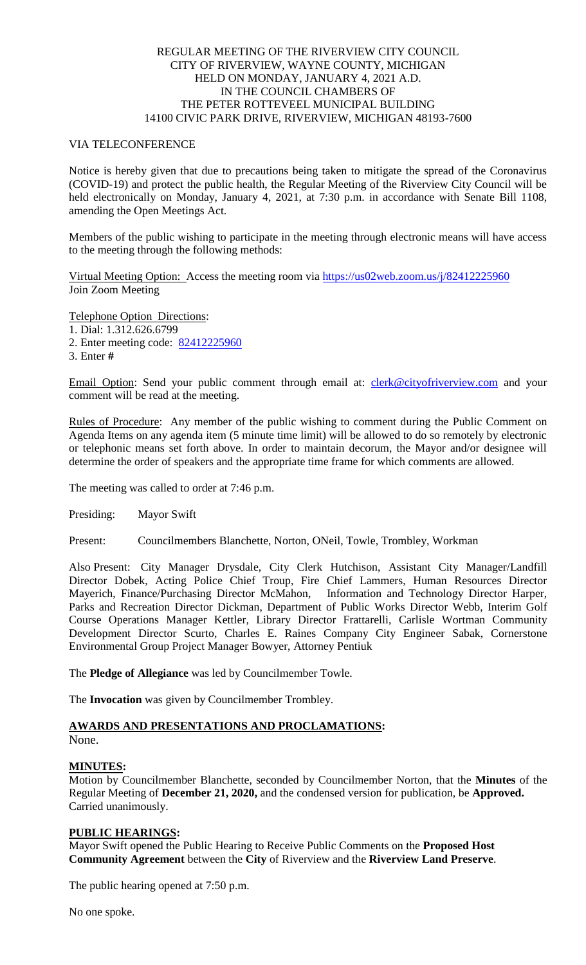# REGULAR MEETING OF THE RIVERVIEW CITY COUNCIL CITY OF RIVERVIEW, WAYNE COUNTY, MICHIGAN HELD ON MONDAY, JANUARY 4, 2021 A.D. IN THE COUNCIL CHAMBERS OF THE PETER ROTTEVEEL MUNICIPAL BUILDING 14100 CIVIC PARK DRIVE, RIVERVIEW, MICHIGAN 48193-7600

## VIA TELECONFERENCE

Notice is hereby given that due to precautions being taken to mitigate the spread of the Coronavirus (COVID-19) and protect the public health, the Regular Meeting of the Riverview City Council will be held electronically on Monday, January 4, 2021, at 7:30 p.m. in accordance with Senate Bill 1108, amending the Open Meetings Act.

Members of the public wishing to participate in the meeting through electronic means will have access to the meeting through the following methods:

Virtual Meeting Option: Access the meeting room via [https://us02web.zoom.us/j/82412225960](https://www.google.com/url?q=https%3A%2F%2Fus02web.zoom.us%2Fj%2F82412225960&sa=D&ust=1609016123383000&usg=AOvVaw1tl3JvAIMWWfGCl-N_OwhK) Join Zoom Meeting

Telephone Option Directions:

- 1. Dial: 1.312.626.6799
- 2. Enter meeting code: [82412225960](https://www.google.com/url?q=https%3A%2F%2Fus02web.zoom.us%2Fj%2F82412225960&sa=D&ust=1609016123383000&usg=AOvVaw1tl3JvAIMWWfGCl-N_OwhK)
- 3. Enter **#**

Email Option: Send your public comment through email at: [clerk@cityofriverview.com](mailto:clerk@cityofriverview.com) and your comment will be read at the meeting.

Rules of Procedure: Any member of the public wishing to comment during the Public Comment on Agenda Items on any agenda item (5 minute time limit) will be allowed to do so remotely by electronic or telephonic means set forth above. In order to maintain decorum, the Mayor and/or designee will determine the order of speakers and the appropriate time frame for which comments are allowed.

The meeting was called to order at 7:46 p.m.

Presiding: Mayor Swift

Present: Councilmembers Blanchette, Norton, ONeil, Towle, Trombley, Workman

Also Present: City Manager Drysdale, City Clerk Hutchison, Assistant City Manager/Landfill Director Dobek, Acting Police Chief Troup, Fire Chief Lammers, Human Resources Director Mayerich, Finance/Purchasing Director McMahon, Information and Technology Director Harper, Parks and Recreation Director Dickman, Department of Public Works Director Webb, Interim Golf Course Operations Manager Kettler, Library Director Frattarelli, Carlisle Wortman Community Development Director Scurto, Charles E. Raines Company City Engineer Sabak, Cornerstone Environmental Group Project Manager Bowyer, Attorney Pentiuk

The **Pledge of Allegiance** was led by Councilmember Towle.

The **Invocation** was given by Councilmember Trombley.

# **AWARDS AND PRESENTATIONS AND PROCLAMATIONS:**

None.

# **MINUTES:**

Motion by Councilmember Blanchette, seconded by Councilmember Norton, that the **Minutes** of the Regular Meeting of **December 21, 2020,** and the condensed version for publication, be **Approved.** Carried unanimously.

# **PUBLIC HEARINGS:**

Mayor Swift opened the Public Hearing to Receive Public Comments on the **Proposed Host Community Agreement** between the **City** of Riverview and the **Riverview Land Preserve**.

The public hearing opened at 7:50 p.m.

No one spoke.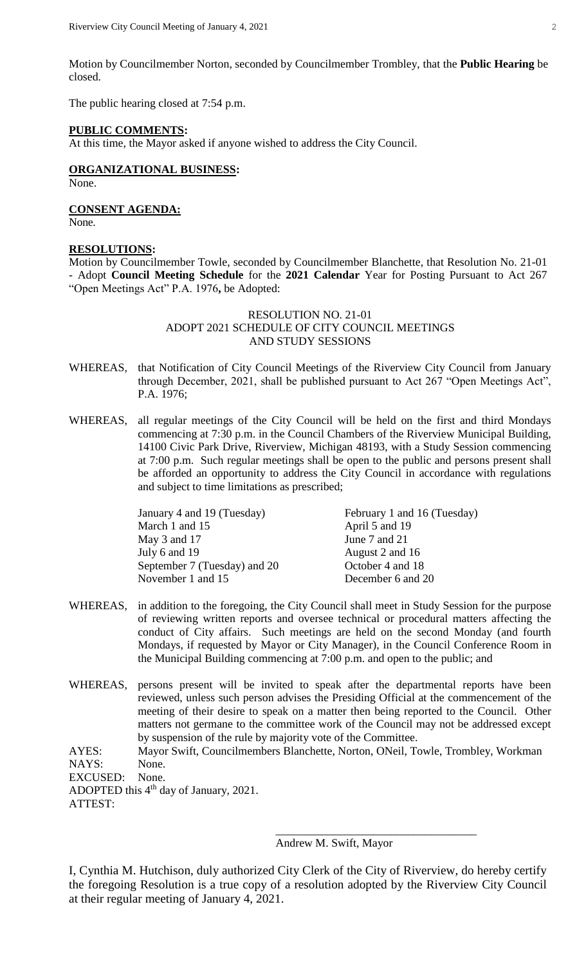Motion by Councilmember Norton, seconded by Councilmember Trombley, that the **Public Hearing** be closed.

The public hearing closed at 7:54 p.m.

#### **PUBLIC COMMENTS:**

At this time, the Mayor asked if anyone wished to address the City Council.

**ORGANIZATIONAL BUSINESS:** None.

**CONSENT AGENDA:** None.

### **RESOLUTIONS:**

Motion by Councilmember Towle, seconded by Councilmember Blanchette, that Resolution No. 21-01 - Adopt **Council Meeting Schedule** for the **2021 Calendar** Year for Posting Pursuant to Act 267 "Open Meetings Act" P.A. 1976**,** be Adopted:

### RESOLUTION NO. 21-01 ADOPT 2021 SCHEDULE OF CITY COUNCIL MEETINGS AND STUDY SESSIONS

- WHEREAS, that Notification of City Council Meetings of the Riverview City Council from January through December, 2021, shall be published pursuant to Act 267 "Open Meetings Act", P.A. 1976;
- WHEREAS, all regular meetings of the City Council will be held on the first and third Mondays commencing at 7:30 p.m. in the Council Chambers of the Riverview Municipal Building, 14100 Civic Park Drive, Riverview, Michigan 48193, with a Study Session commencing at 7:00 p.m. Such regular meetings shall be open to the public and persons present shall be afforded an opportunity to address the City Council in accordance with regulations and subject to time limitations as prescribed;

| February 1 and 16 (Tuesday) |
|-----------------------------|
| April 5 and 19              |
| June 7 and 21               |
| August 2 and 16             |
| October 4 and 18            |
| December 6 and 20           |
|                             |

- WHEREAS, in addition to the foregoing, the City Council shall meet in Study Session for the purpose of reviewing written reports and oversee technical or procedural matters affecting the conduct of City affairs. Such meetings are held on the second Monday (and fourth Mondays, if requested by Mayor or City Manager), in the Council Conference Room in the Municipal Building commencing at 7:00 p.m. and open to the public; and
- WHEREAS, persons present will be invited to speak after the departmental reports have been reviewed, unless such person advises the Presiding Official at the commencement of the meeting of their desire to speak on a matter then being reported to the Council. Other matters not germane to the committee work of the Council may not be addressed except by suspension of the rule by majority vote of the Committee.

AYES: Mayor Swift, Councilmembers Blanchette, Norton, ONeil, Towle, Trombley, Workman NAYS: None.

EXCUSED: None.

ADOPTED this 4<sup>th</sup> day of January, 2021. ATTEST:

Andrew M. Swift, Mayor

\_\_\_\_\_\_\_\_\_\_\_\_\_\_\_\_\_\_\_\_\_\_\_\_\_\_\_\_\_\_\_\_\_\_\_

I, Cynthia M. Hutchison, duly authorized City Clerk of the City of Riverview, do hereby certify the foregoing Resolution is a true copy of a resolution adopted by the Riverview City Council at their regular meeting of January 4, 2021.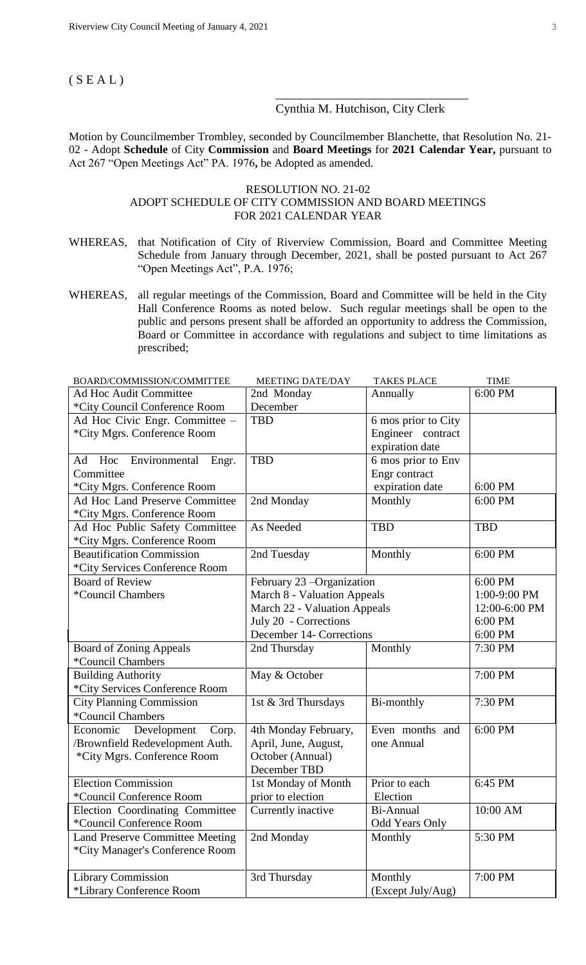# $(S E A L)$

# Cynthia M. Hutchison, City Clerk

\_\_\_\_\_\_\_\_\_\_\_\_\_\_\_\_\_\_\_\_\_\_\_\_\_\_\_\_\_\_\_

Motion by Councilmember Trombley, seconded by Councilmember Blanchette, that Resolution No. 21- 02 - Adopt **Schedule** of City **Commission** and **Board Meetings** for **2021 Calendar Year,** pursuant to Act 267 "Open Meetings Act" PA. 1976**,** be Adopted as amended.

### RESOLUTION NO. 21-02 ADOPT SCHEDULE OF CITY COMMISSION AND BOARD MEETINGS FOR 2021 CALENDAR YEAR

- WHEREAS, that Notification of City of Riverview Commission, Board and Committee Meeting Schedule from January through December, 2021, shall be posted pursuant to Act 267 "Open Meetings Act", P.A. 1976;
- WHEREAS, all regular meetings of the Commission, Board and Committee will be held in the City Hall Conference Rooms as noted below. Such regular meetings shall be open to the public and persons present shall be afforded an opportunity to address the Commission, Board or Committee in accordance with regulations and subject to time limitations as prescribed;

| BOARD/COMMISSION/COMMITTEE             | <b>MEETING DATE/DAY</b>      | <b>TAKES PLACE</b>    | <b>TIME</b>   |
|----------------------------------------|------------------------------|-----------------------|---------------|
| <b>Ad Hoc Audit Committee</b>          | 2nd Monday                   | Annually              | 6:00 PM       |
| *City Council Conference Room          | December                     |                       |               |
| Ad Hoc Civic Engr. Committee -         | <b>TBD</b>                   | 6 mos prior to City   |               |
| *City Mgrs. Conference Room            |                              | Engineer contract     |               |
|                                        |                              | expiration date       |               |
| Hoc<br>Ad<br>Environmental<br>Engr.    | <b>TBD</b>                   | 6 mos prior to Env    |               |
| Committee                              |                              | Engr contract         |               |
| *City Mgrs. Conference Room            |                              | expiration date       | 6:00 PM       |
| Ad Hoc Land Preserve Committee         | 2nd Monday                   | Monthly               | 6:00 PM       |
| *City Mgrs. Conference Room            |                              |                       |               |
| Ad Hoc Public Safety Committee         | As Needed                    | <b>TBD</b>            | <b>TBD</b>    |
| *City Mgrs. Conference Room            |                              |                       |               |
| <b>Beautification Commission</b>       | 2nd Tuesday                  | Monthly               | 6:00 PM       |
| *City Services Conference Room         |                              |                       |               |
| <b>Board of Review</b>                 | February 23 -Organization    |                       | 6:00 PM       |
| *Council Chambers                      | March 8 - Valuation Appeals  |                       | 1:00-9:00 PM  |
|                                        | March 22 - Valuation Appeals |                       | 12:00-6:00 PM |
|                                        | July 20 - Corrections        |                       | 6:00 PM       |
|                                        | December 14- Corrections     |                       | 6:00 PM       |
| <b>Board of Zoning Appeals</b>         | 2nd Thursday                 | Monthly               | 7:30 PM       |
| *Council Chambers                      |                              |                       |               |
| <b>Building Authority</b>              | May & October                |                       | 7:00 PM       |
| *City Services Conference Room         |                              |                       |               |
| <b>City Planning Commission</b>        | 1st & 3rd Thursdays          | Bi-monthly            | 7:30 PM       |
| *Council Chambers                      |                              |                       |               |
| Economic Development<br>Corp.          | 4th Monday February,         | Even months and       | 6:00 PM       |
| /Brownfield Redevelopment Auth.        | April, June, August,         | one Annual            |               |
| *City Mgrs. Conference Room            | October (Annual)             |                       |               |
|                                        | December TBD                 |                       |               |
| <b>Election Commission</b>             | 1st Monday of Month          | Prior to each         | 6:45 PM       |
| *Council Conference Room               | prior to election            | Election              |               |
| Election Coordinating Committee        | Currently inactive           | Bi-Annual             | 10:00 AM      |
| *Council Conference Room               |                              | <b>Odd Years Only</b> |               |
| <b>Land Preserve Committee Meeting</b> | 2nd Monday                   | Monthly               | 5:30 PM       |
| *City Manager's Conference Room        |                              |                       |               |
|                                        |                              |                       |               |
| <b>Library Commission</b>              | 3rd Thursday                 | Monthly               | 7:00 PM       |
| *Library Conference Room               |                              | (Except July/Aug)     |               |